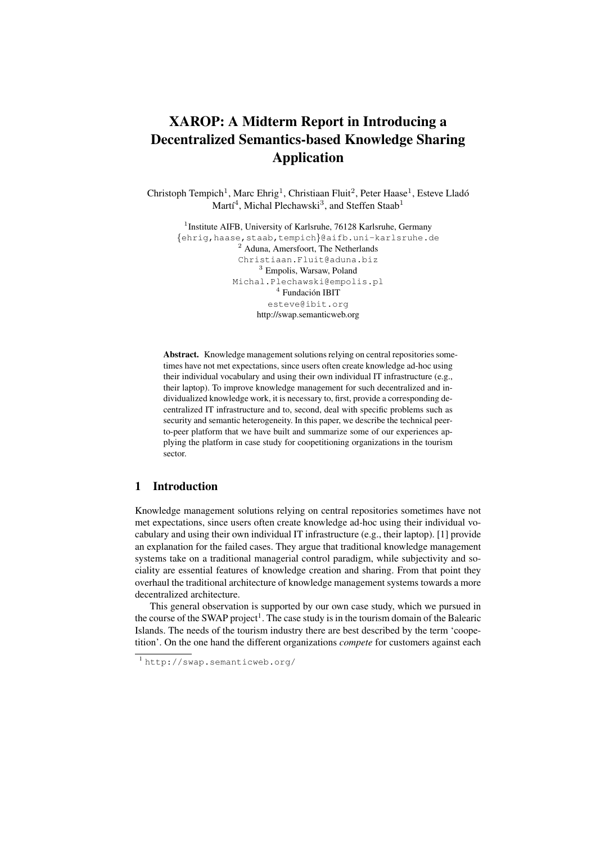# **XAROP: A Midterm Report in Introducing a Decentralized Semantics-based Knowledge Sharing Application**

Christoph Tempich<sup>1</sup>, Marc Ehrig<sup>1</sup>, Christiaan Fluit<sup>2</sup>, Peter Haase<sup>1</sup>, Esteve Lladó Martí<sup>4</sup>, Michal Plechawski<sup>3</sup>, and Steffen Staab<sup>1</sup>

<sup>1</sup> Institute AIFB, University of Karlsruhe, 76128 Karlsruhe, Germany {ehrig,haase,staab,tempich}@aifb.uni-karlsruhe.de <sup>2</sup> Aduna, Amersfoort, The Netherlands Christiaan.Fluit@aduna.biz <sup>3</sup> Empolis, Warsaw, Poland Michal.Plechawski@empolis.pl <sup>4</sup> Fundación IBIT esteve@ibit.org

http://swap.semanticweb.org

Abstract. Knowledge management solutions relying on central repositories sometimes have not met expectations, since users often create knowledge ad-hoc using their individual vocabulary and using their own individual IT infrastructure (e.g., their laptop). To improve knowledge management for such decentralized and individualized knowledge work, it is necessary to, first, provide a corresponding decentralized IT infrastructure and to, second, deal with specific problems such as security and semantic heterogeneity. In this paper, we describe the technical peerto-peer platform that we have built and summarize some of our experiences applying the platform in case study for coopetitioning organizations in the tourism sector.

# **1 Introduction**

Knowledge management solutions relying on central repositories sometimes have not met expectations, since users often create knowledge ad-hoc using their individual vocabulary and using their own individual IT infrastructure (e.g., their laptop). [1] provide an explanation for the failed cases. They argue that traditional knowledge management systems take on a traditional managerial control paradigm, while subjectivity and sociality are essential features of knowledge creation and sharing. From that point they overhaul the traditional architecture of knowledge management systems towards a more decentralized architecture.

This general observation is supported by our own case study, which we pursued in the course of the SWAP project<sup>1</sup>. The case study is in the tourism domain of the Balearic Islands. The needs of the tourism industry there are best described by the term 'coopetition'. On the one hand the different organizations *compete* for customers against each

<sup>1</sup> http://swap.semanticweb.org/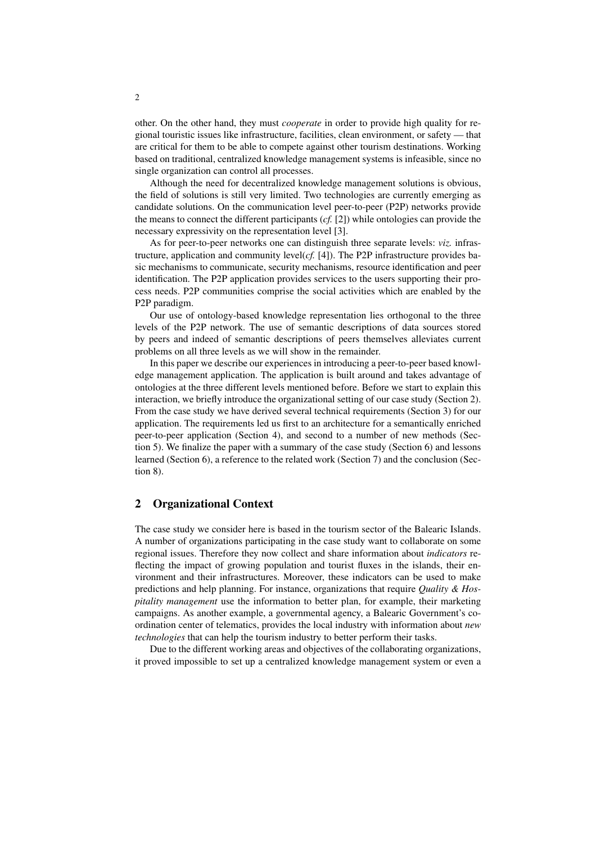other. On the other hand, they must *cooperate* in order to provide high quality for regional touristic issues like infrastructure, facilities, clean environment, or safety — that are critical for them to be able to compete against other tourism destinations. Working based on traditional, centralized knowledge management systems is infeasible, since no single organization can control all processes.

Although the need for decentralized knowledge management solutions is obvious, the field of solutions is still very limited. Two technologies are currently emerging as candidate solutions. On the communication level peer-to-peer (P2P) networks provide the means to connect the different participants (*cf.* [2]) while ontologies can provide the necessary expressivity on the representation level [3].

As for peer-to-peer networks one can distinguish three separate levels: *viz.* infrastructure, application and community level(*cf.* [4]). The P2P infrastructure provides basic mechanisms to communicate, security mechanisms, resource identification and peer identification. The P2P application provides services to the users supporting their process needs. P2P communities comprise the social activities which are enabled by the P2P paradigm.

Our use of ontology-based knowledge representation lies orthogonal to the three levels of the P2P network. The use of semantic descriptions of data sources stored by peers and indeed of semantic descriptions of peers themselves alleviates current problems on all three levels as we will show in the remainder.

In this paper we describe our experiences in introducing a peer-to-peer based knowledge management application. The application is built around and takes advantage of ontologies at the three different levels mentioned before. Before we start to explain this interaction, we briefly introduce the organizational setting of our case study (Section 2). From the case study we have derived several technical requirements (Section 3) for our application. The requirements led us first to an architecture for a semantically enriched peer-to-peer application (Section 4), and second to a number of new methods (Section 5). We finalize the paper with a summary of the case study (Section 6) and lessons learned (Section 6), a reference to the related work (Section 7) and the conclusion (Section 8).

## **2 Organizational Context**

The case study we consider here is based in the tourism sector of the Balearic Islands. A number of organizations participating in the case study want to collaborate on some regional issues. Therefore they now collect and share information about *indicators* reflecting the impact of growing population and tourist fluxes in the islands, their environment and their infrastructures. Moreover, these indicators can be used to make predictions and help planning. For instance, organizations that require *Quality & Hospitality management* use the information to better plan, for example, their marketing campaigns. As another example, a governmental agency, a Balearic Government's coordination center of telematics, provides the local industry with information about *new technologies* that can help the tourism industry to better perform their tasks.

Due to the different working areas and objectives of the collaborating organizations, it proved impossible to set up a centralized knowledge management system or even a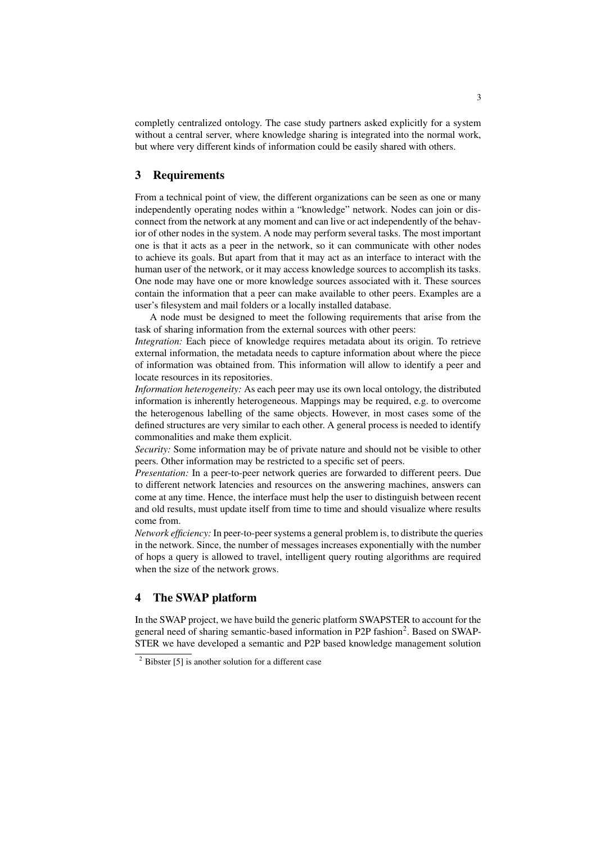completly centralized ontology. The case study partners asked explicitly for a system without a central server, where knowledge sharing is integrated into the normal work, but where very different kinds of information could be easily shared with others.

# **3 Requirements**

From a technical point of view, the different organizations can be seen as one or many independently operating nodes within a "knowledge" network. Nodes can join or disconnect from the network at any moment and can live or act independently of the behavior of other nodes in the system. A node may perform several tasks. The most important one is that it acts as a peer in the network, so it can communicate with other nodes to achieve its goals. But apart from that it may act as an interface to interact with the human user of the network, or it may access knowledge sources to accomplish its tasks. One node may have one or more knowledge sources associated with it. These sources contain the information that a peer can make available to other peers. Examples are a user's filesystem and mail folders or a locally installed database.

A node must be designed to meet the following requirements that arise from the task of sharing information from the external sources with other peers:

*Integration:* Each piece of knowledge requires metadata about its origin. To retrieve external information, the metadata needs to capture information about where the piece of information was obtained from. This information will allow to identify a peer and locate resources in its repositories.

*Information heterogeneity:* As each peer may use its own local ontology, the distributed information is inherently heterogeneous. Mappings may be required, e.g. to overcome the heterogenous labelling of the same objects. However, in most cases some of the defined structures are very similar to each other. A general process is needed to identify commonalities and make them explicit.

*Security:* Some information may be of private nature and should not be visible to other peers. Other information may be restricted to a specific set of peers.

*Presentation:* In a peer-to-peer network queries are forwarded to different peers. Due to different network latencies and resources on the answering machines, answers can come at any time. Hence, the interface must help the user to distinguish between recent and old results, must update itself from time to time and should visualize where results come from.

*Network efficiency:* In peer-to-peer systems a general problem is, to distribute the queries in the network. Since, the number of messages increases exponentially with the number of hops a query is allowed to travel, intelligent query routing algorithms are required when the size of the network grows.

# **4 The SWAP platform**

In the SWAP project, we have build the generic platform SWAPSTER to account for the general need of sharing semantic-based information in P2P fashion<sup>2</sup>. Based on SWAP-STER we have developed a semantic and P2P based knowledge management solution

 $^{2}$  Bibster [5] is another solution for a different case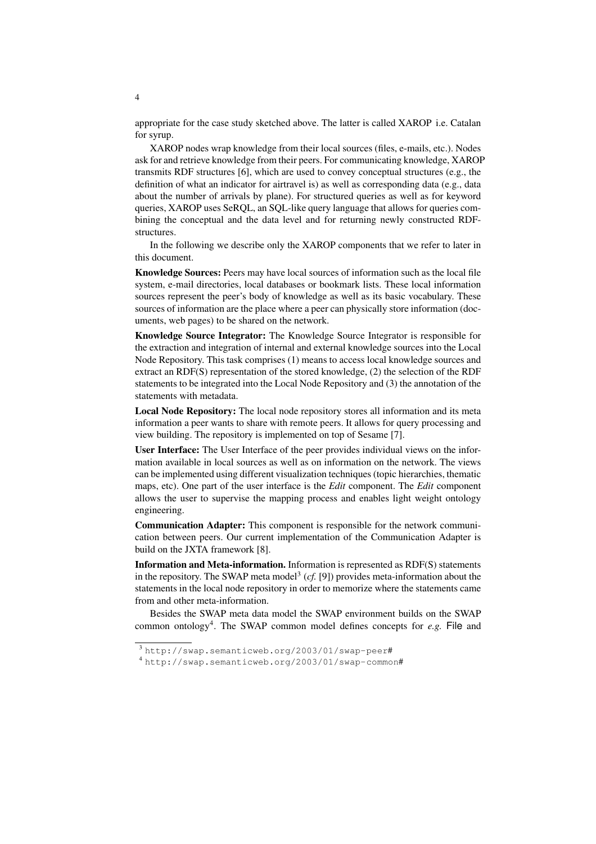appropriate for the case study sketched above. The latter is called XAROP i.e. Catalan for syrup.

XAROP nodes wrap knowledge from their local sources (files, e-mails, etc.). Nodes ask for and retrieve knowledge from their peers. For communicating knowledge, XAROP transmits RDF structures [6], which are used to convey conceptual structures (e.g., the definition of what an indicator for airtravel is) as well as corresponding data (e.g., data about the number of arrivals by plane). For structured queries as well as for keyword queries, XAROP uses SeRQL, an SQL-like query language that allows for queries combining the conceptual and the data level and for returning newly constructed RDFstructures.

In the following we describe only the XAROP components that we refer to later in this document.

**Knowledge Sources:** Peers may have local sources of information such as the local file system, e-mail directories, local databases or bookmark lists. These local information sources represent the peer's body of knowledge as well as its basic vocabulary. These sources of information are the place where a peer can physically store information (documents, web pages) to be shared on the network.

**Knowledge Source Integrator:** The Knowledge Source Integrator is responsible for the extraction and integration of internal and external knowledge sources into the Local Node Repository. This task comprises (1) means to access local knowledge sources and extract an RDF(S) representation of the stored knowledge, (2) the selection of the RDF statements to be integrated into the Local Node Repository and (3) the annotation of the statements with metadata.

**Local Node Repository:** The local node repository stores all information and its meta information a peer wants to share with remote peers. It allows for query processing and view building. The repository is implemented on top of Sesame [7].

**User Interface:** The User Interface of the peer provides individual views on the information available in local sources as well as on information on the network. The views can be implemented using different visualization techniques (topic hierarchies, thematic maps, etc). One part of the user interface is the *Edit* component. The *Edit* component allows the user to supervise the mapping process and enables light weight ontology engineering.

**Communication Adapter:** This component is responsible for the network communication between peers. Our current implementation of the Communication Adapter is build on the JXTA framework [8].

**Information and Meta-information.** Information is represented as RDF(S) statements in the repository. The SWAP meta model<sup>3</sup> (*cf.* [9]) provides meta-information about the statements in the local node repository in order to memorize where the statements came from and other meta-information.

Besides the SWAP meta data model the SWAP environment builds on the SWAP common ontology<sup>4</sup> . The SWAP common model defines concepts for *e.g.* File and

<sup>3</sup> http://swap.semanticweb.org/2003/01/swap-peer#

<sup>4</sup> http://swap.semanticweb.org/2003/01/swap-common#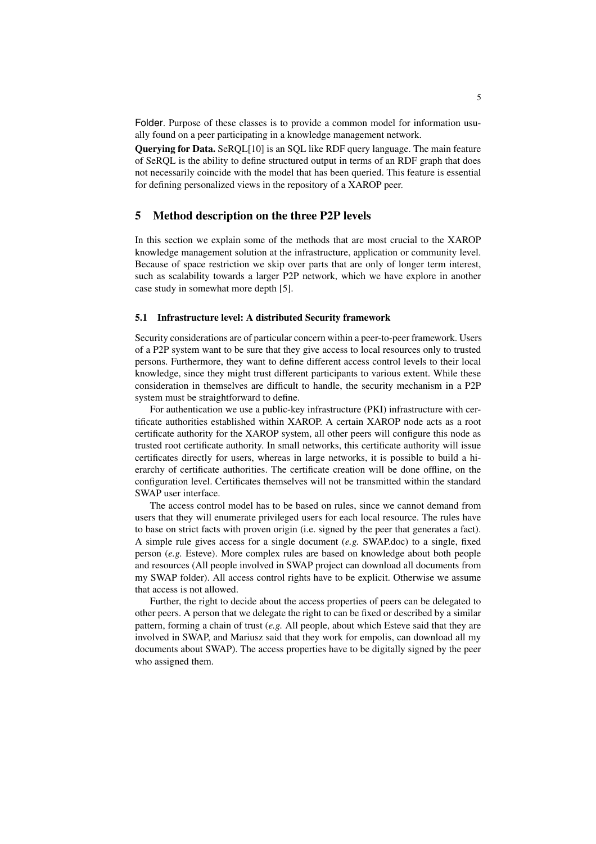Folder. Purpose of these classes is to provide a common model for information usually found on a peer participating in a knowledge management network.

**Querying for Data.** SeRQL[10] is an SQL like RDF query language. The main feature of SeRQL is the ability to define structured output in terms of an RDF graph that does not necessarily coincide with the model that has been queried. This feature is essential for defining personalized views in the repository of a XAROP peer.

## **5 Method description on the three P2P levels**

In this section we explain some of the methods that are most crucial to the XAROP knowledge management solution at the infrastructure, application or community level. Because of space restriction we skip over parts that are only of longer term interest, such as scalability towards a larger P2P network, which we have explore in another case study in somewhat more depth [5].

#### **5.1 Infrastructure level: A distributed Security framework**

Security considerations are of particular concern within a peer-to-peer framework. Users of a P2P system want to be sure that they give access to local resources only to trusted persons. Furthermore, they want to define different access control levels to their local knowledge, since they might trust different participants to various extent. While these consideration in themselves are difficult to handle, the security mechanism in a P2P system must be straightforward to define.

For authentication we use a public-key infrastructure (PKI) infrastructure with certificate authorities established within XAROP. A certain XAROP node acts as a root certificate authority for the XAROP system, all other peers will configure this node as trusted root certificate authority. In small networks, this certificate authority will issue certificates directly for users, whereas in large networks, it is possible to build a hierarchy of certificate authorities. The certificate creation will be done offline, on the configuration level. Certificates themselves will not be transmitted within the standard SWAP user interface.

The access control model has to be based on rules, since we cannot demand from users that they will enumerate privileged users for each local resource. The rules have to base on strict facts with proven origin (i.e. signed by the peer that generates a fact). A simple rule gives access for a single document (*e.g.* SWAP.doc) to a single, fixed person (*e.g.* Esteve). More complex rules are based on knowledge about both people and resources (All people involved in SWAP project can download all documents from my SWAP folder). All access control rights have to be explicit. Otherwise we assume that access is not allowed.

Further, the right to decide about the access properties of peers can be delegated to other peers. A person that we delegate the right to can be fixed or described by a similar pattern, forming a chain of trust (*e.g.* All people, about which Esteve said that they are involved in SWAP, and Mariusz said that they work for empolis, can download all my documents about SWAP). The access properties have to be digitally signed by the peer who assigned them.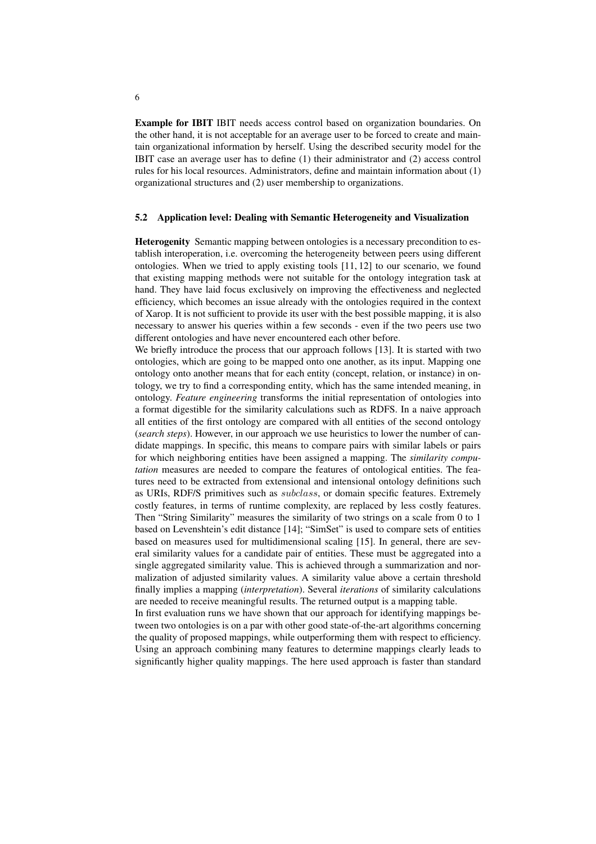**Example for IBIT** IBIT needs access control based on organization boundaries. On the other hand, it is not acceptable for an average user to be forced to create and maintain organizational information by herself. Using the described security model for the IBIT case an average user has to define (1) their administrator and (2) access control rules for his local resources. Administrators, define and maintain information about (1) organizational structures and (2) user membership to organizations.

#### **5.2 Application level: Dealing with Semantic Heterogeneity and Visualization**

**Heterogenity** Semantic mapping between ontologies is a necessary precondition to establish interoperation, i.e. overcoming the heterogeneity between peers using different ontologies. When we tried to apply existing tools [11, 12] to our scenario, we found that existing mapping methods were not suitable for the ontology integration task at hand. They have laid focus exclusively on improving the effectiveness and neglected efficiency, which becomes an issue already with the ontologies required in the context of Xarop. It is not sufficient to provide its user with the best possible mapping, it is also necessary to answer his queries within a few seconds - even if the two peers use two different ontologies and have never encountered each other before.

We briefly introduce the process that our approach follows [13]. It is started with two ontologies, which are going to be mapped onto one another, as its input. Mapping one ontology onto another means that for each entity (concept, relation, or instance) in ontology, we try to find a corresponding entity, which has the same intended meaning, in ontology. *Feature engineering* transforms the initial representation of ontologies into a format digestible for the similarity calculations such as RDFS. In a naive approach all entities of the first ontology are compared with all entities of the second ontology (*search steps*). However, in our approach we use heuristics to lower the number of candidate mappings. In specific, this means to compare pairs with similar labels or pairs for which neighboring entities have been assigned a mapping. The *similarity computation* measures are needed to compare the features of ontological entities. The features need to be extracted from extensional and intensional ontology definitions such as URIs, RDF/S primitives such as subclass, or domain specific features. Extremely costly features, in terms of runtime complexity, are replaced by less costly features. Then "String Similarity" measures the similarity of two strings on a scale from 0 to 1 based on Levenshtein's edit distance [14]; "SimSet" is used to compare sets of entities based on measures used for multidimensional scaling [15]. In general, there are several similarity values for a candidate pair of entities. These must be aggregated into a single aggregated similarity value. This is achieved through a summarization and normalization of adjusted similarity values. A similarity value above a certain threshold finally implies a mapping (*interpretation*). Several *iterations* of similarity calculations are needed to receive meaningful results. The returned output is a mapping table.

In first evaluation runs we have shown that our approach for identifying mappings between two ontologies is on a par with other good state-of-the-art algorithms concerning the quality of proposed mappings, while outperforming them with respect to efficiency. Using an approach combining many features to determine mappings clearly leads to significantly higher quality mappings. The here used approach is faster than standard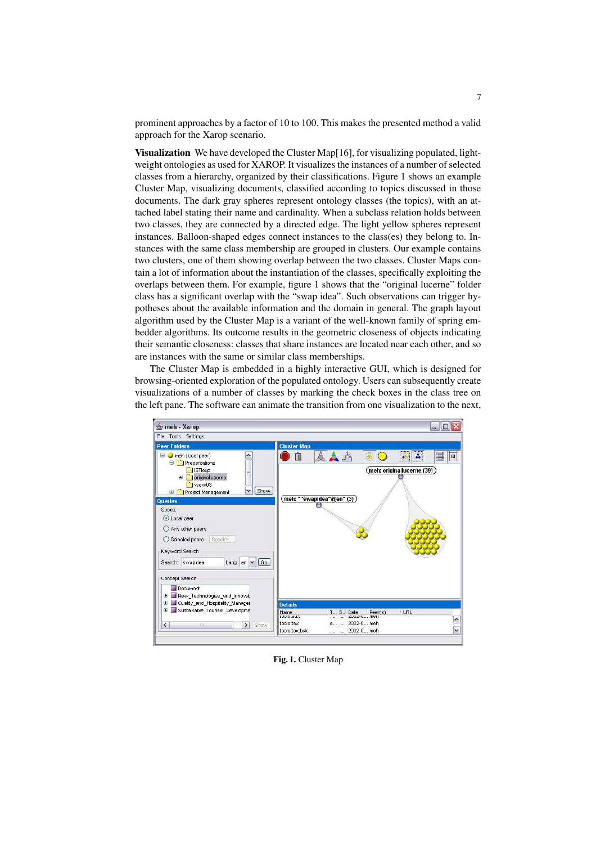prominent approaches by a factor of 10 to 100. This makes the presented method a valid approach for the Xarop scenario.

**Visualization** We have developed the Cluster Map[16], for visualizing populated, lightweight ontologies as used for XAROP. It visualizes the instances of a number of selected classes from a hierarchy, organized by their classifications. Figure 1 shows an example Cluster Map, visualizing documents, classified according to topics discussed in those documents. The dark gray spheres represent ontology classes (the topics), with an attached label stating their name and cardinality. When a subclass relation holds between two classes, they are connected by a directed edge. The light yellow spheres represent instances. Balloon-shaped edges connect instances to the class(es) they belong to. Instances with the same class membership are grouped in clusters. Our example contains two clusters, one of them showing overlap between the two classes. Cluster Maps contain a lot of information about the instantiation of the classes, specifically exploiting the overlaps between them. For example, figure 1 shows that the "original lucerne" folder class has a significant overlap with the "swap idea". Such observations can trigger hypotheses about the available information and the domain in general. The graph layout algorithm used by the Cluster Map is a variant of the well-known family of spring embedder algorithms. Its outcome results in the geometric closeness of objects indicating their semantic closeness: classes that share instances are located near each other, and so are instances with the same or similar class memberships.

The Cluster Map is embedded in a highly interactive GUI, which is designed for browsing-oriented exploration of the populated ontology. Users can subsequently create visualizations of a number of classes by marking the check boxes in the class tree on the left pane. The software can animate the transition from one visualization to the next,



**Fig. 1.** Cluster Map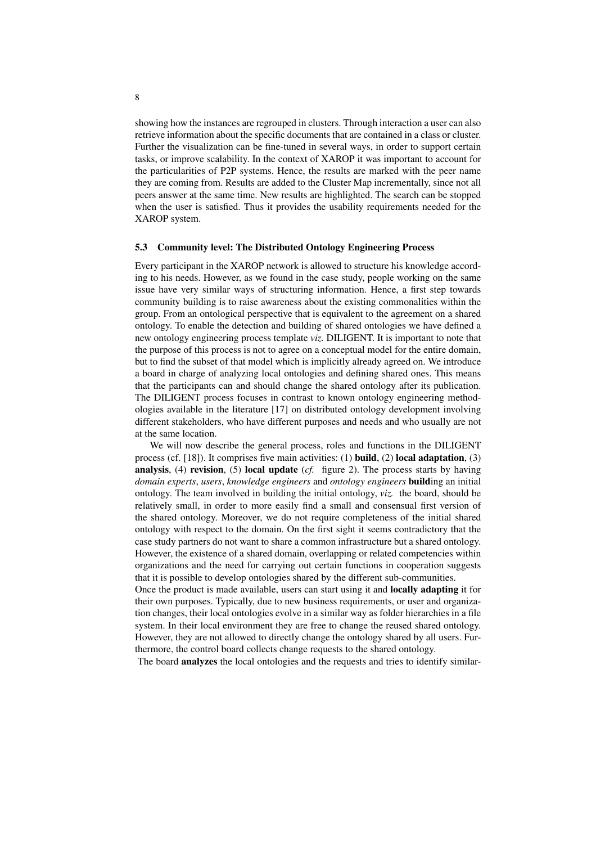showing how the instances are regrouped in clusters. Through interaction a user can also retrieve information about the specific documents that are contained in a class or cluster. Further the visualization can be fine-tuned in several ways, in order to support certain tasks, or improve scalability. In the context of XAROP it was important to account for the particularities of P2P systems. Hence, the results are marked with the peer name they are coming from. Results are added to the Cluster Map incrementally, since not all peers answer at the same time. New results are highlighted. The search can be stopped when the user is satisfied. Thus it provides the usability requirements needed for the XAROP system.

#### **5.3 Community level: The Distributed Ontology Engineering Process**

Every participant in the XAROP network is allowed to structure his knowledge according to his needs. However, as we found in the case study, people working on the same issue have very similar ways of structuring information. Hence, a first step towards community building is to raise awareness about the existing commonalities within the group. From an ontological perspective that is equivalent to the agreement on a shared ontology. To enable the detection and building of shared ontologies we have defined a new ontology engineering process template *viz.* DILIGENT. It is important to note that the purpose of this process is not to agree on a conceptual model for the entire domain, but to find the subset of that model which is implicitly already agreed on. We introduce a board in charge of analyzing local ontologies and defining shared ones. This means that the participants can and should change the shared ontology after its publication. The DILIGENT process focuses in contrast to known ontology engineering methodologies available in the literature [17] on distributed ontology development involving different stakeholders, who have different purposes and needs and who usually are not at the same location.

We will now describe the general process, roles and functions in the DILIGENT process (cf. [18]). It comprises five main activities: (1) **build**, (2) **local adaptation**, (3) **analysis**, (4) **revision**, (5) **local update** (*cf.* figure 2). The process starts by having *domain experts*, *users*, *knowledge engineers* and *ontology engineers* **build**ing an initial ontology. The team involved in building the initial ontology, *viz.* the board, should be relatively small, in order to more easily find a small and consensual first version of the shared ontology. Moreover, we do not require completeness of the initial shared ontology with respect to the domain. On the first sight it seems contradictory that the case study partners do not want to share a common infrastructure but a shared ontology. However, the existence of a shared domain, overlapping or related competencies within organizations and the need for carrying out certain functions in cooperation suggests that it is possible to develop ontologies shared by the different sub-communities. Once the product is made available, users can start using it and **locally adapting** it for

their own purposes. Typically, due to new business requirements, or user and organization changes, their local ontologies evolve in a similar way as folder hierarchies in a file system. In their local environment they are free to change the reused shared ontology. However, they are not allowed to directly change the ontology shared by all users. Furthermore, the control board collects change requests to the shared ontology.

The board **analyzes** the local ontologies and the requests and tries to identify similar-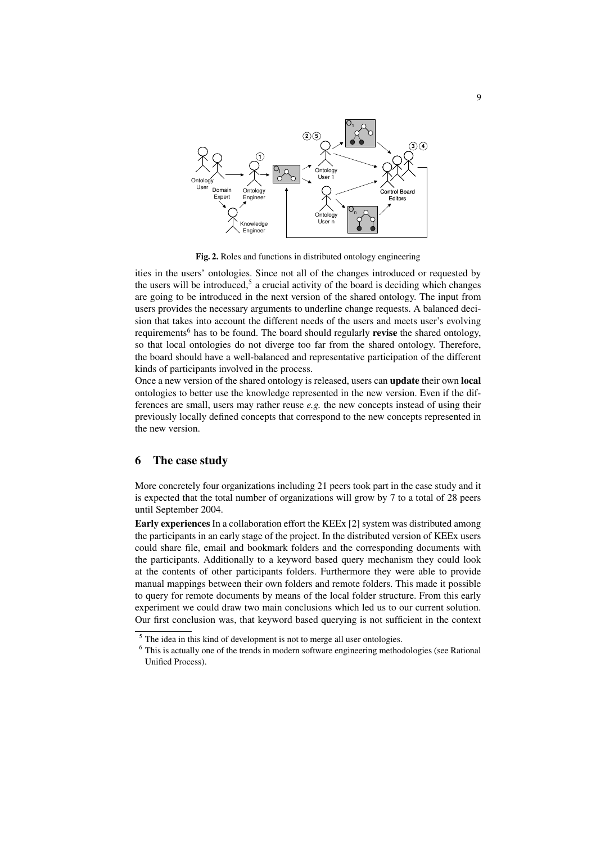

**Fig. 2.** Roles and functions in distributed ontology engineering

ities in the users' ontologies. Since not all of the changes introduced or requested by the users will be introduced,<sup>5</sup> a crucial activity of the board is deciding which changes are going to be introduced in the next version of the shared ontology. The input from users provides the necessary arguments to underline change requests. A balanced decision that takes into account the different needs of the users and meets user's evolving requirements<sup>6</sup> has to be found. The board should regularly **revise** the shared ontology, so that local ontologies do not diverge too far from the shared ontology. Therefore, the board should have a well-balanced and representative participation of the different kinds of participants involved in the process.

Once a new version of the shared ontology is released, users can **update** their own **local** ontologies to better use the knowledge represented in the new version. Even if the differences are small, users may rather reuse *e.g.* the new concepts instead of using their previously locally defined concepts that correspond to the new concepts represented in the new version.

# **6 The case study**

More concretely four organizations including 21 peers took part in the case study and it is expected that the total number of organizations will grow by 7 to a total of 28 peers until September 2004.

**Early experiences** In a collaboration effort the KEEx [2] system was distributed among the participants in an early stage of the project. In the distributed version of KEEx users could share file, email and bookmark folders and the corresponding documents with the participants. Additionally to a keyword based query mechanism they could look at the contents of other participants folders. Furthermore they were able to provide manual mappings between their own folders and remote folders. This made it possible to query for remote documents by means of the local folder structure. From this early experiment we could draw two main conclusions which led us to our current solution. Our first conclusion was, that keyword based querying is not sufficient in the context

<sup>&</sup>lt;sup>5</sup> The idea in this kind of development is not to merge all user ontologies.

<sup>&</sup>lt;sup>6</sup> This is actually one of the trends in modern software engineering methodologies (see Rational Unified Process).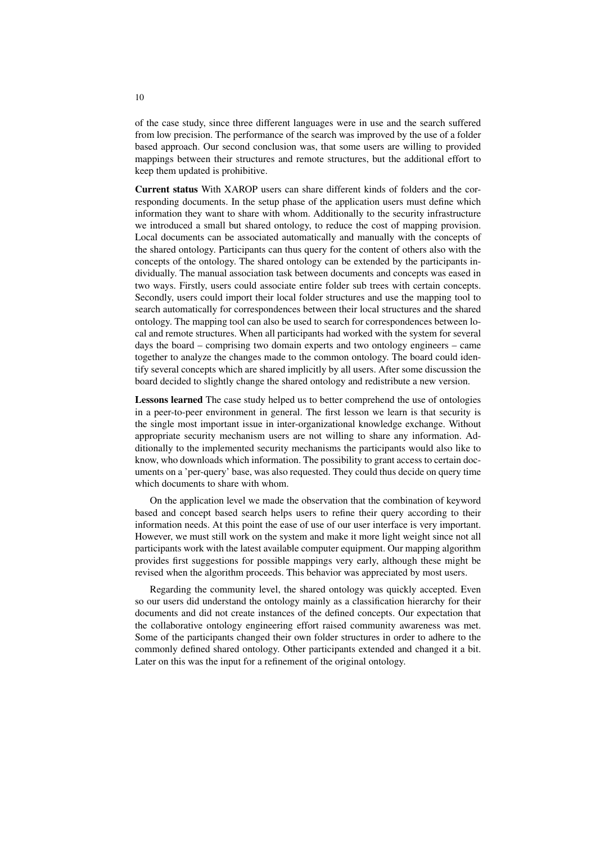of the case study, since three different languages were in use and the search suffered from low precision. The performance of the search was improved by the use of a folder based approach. Our second conclusion was, that some users are willing to provided mappings between their structures and remote structures, but the additional effort to keep them updated is prohibitive.

**Current status** With XAROP users can share different kinds of folders and the corresponding documents. In the setup phase of the application users must define which information they want to share with whom. Additionally to the security infrastructure we introduced a small but shared ontology, to reduce the cost of mapping provision. Local documents can be associated automatically and manually with the concepts of the shared ontology. Participants can thus query for the content of others also with the concepts of the ontology. The shared ontology can be extended by the participants individually. The manual association task between documents and concepts was eased in two ways. Firstly, users could associate entire folder sub trees with certain concepts. Secondly, users could import their local folder structures and use the mapping tool to search automatically for correspondences between their local structures and the shared ontology. The mapping tool can also be used to search for correspondences between local and remote structures. When all participants had worked with the system for several days the board – comprising two domain experts and two ontology engineers – came together to analyze the changes made to the common ontology. The board could identify several concepts which are shared implicitly by all users. After some discussion the board decided to slightly change the shared ontology and redistribute a new version.

**Lessons learned** The case study helped us to better comprehend the use of ontologies in a peer-to-peer environment in general. The first lesson we learn is that security is the single most important issue in inter-organizational knowledge exchange. Without appropriate security mechanism users are not willing to share any information. Additionally to the implemented security mechanisms the participants would also like to know, who downloads which information. The possibility to grant access to certain documents on a 'per-query' base, was also requested. They could thus decide on query time which documents to share with whom.

On the application level we made the observation that the combination of keyword based and concept based search helps users to refine their query according to their information needs. At this point the ease of use of our user interface is very important. However, we must still work on the system and make it more light weight since not all participants work with the latest available computer equipment. Our mapping algorithm provides first suggestions for possible mappings very early, although these might be revised when the algorithm proceeds. This behavior was appreciated by most users.

Regarding the community level, the shared ontology was quickly accepted. Even so our users did understand the ontology mainly as a classification hierarchy for their documents and did not create instances of the defined concepts. Our expectation that the collaborative ontology engineering effort raised community awareness was met. Some of the participants changed their own folder structures in order to adhere to the commonly defined shared ontology. Other participants extended and changed it a bit. Later on this was the input for a refinement of the original ontology.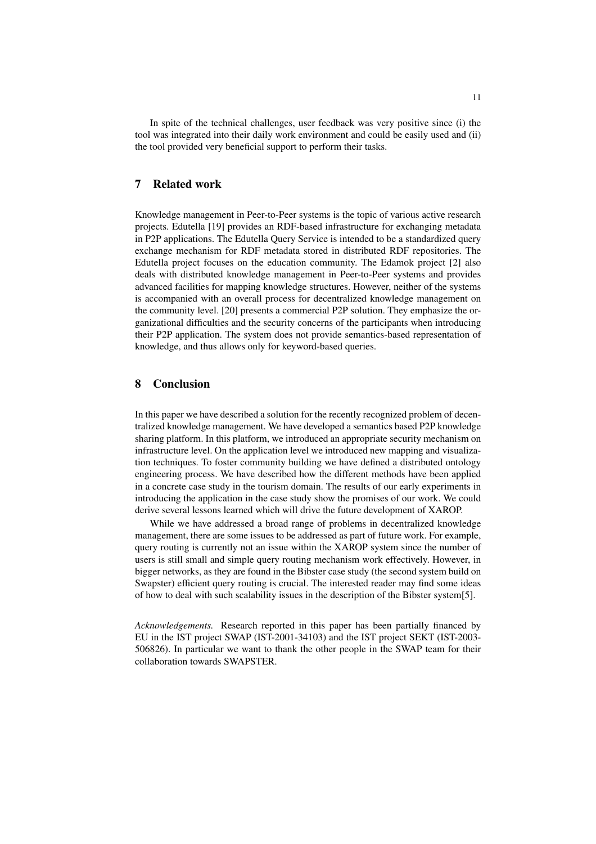In spite of the technical challenges, user feedback was very positive since (i) the tool was integrated into their daily work environment and could be easily used and (ii) the tool provided very beneficial support to perform their tasks.

# **7 Related work**

Knowledge management in Peer-to-Peer systems is the topic of various active research projects. Edutella [19] provides an RDF-based infrastructure for exchanging metadata in P2P applications. The Edutella Query Service is intended to be a standardized query exchange mechanism for RDF metadata stored in distributed RDF repositories. The Edutella project focuses on the education community. The Edamok project [2] also deals with distributed knowledge management in Peer-to-Peer systems and provides advanced facilities for mapping knowledge structures. However, neither of the systems is accompanied with an overall process for decentralized knowledge management on the community level. [20] presents a commercial P2P solution. They emphasize the organizational difficulties and the security concerns of the participants when introducing their P2P application. The system does not provide semantics-based representation of knowledge, and thus allows only for keyword-based queries.

# **8 Conclusion**

In this paper we have described a solution for the recently recognized problem of decentralized knowledge management. We have developed a semantics based P2P knowledge sharing platform. In this platform, we introduced an appropriate security mechanism on infrastructure level. On the application level we introduced new mapping and visualization techniques. To foster community building we have defined a distributed ontology engineering process. We have described how the different methods have been applied in a concrete case study in the tourism domain. The results of our early experiments in introducing the application in the case study show the promises of our work. We could derive several lessons learned which will drive the future development of XAROP.

While we have addressed a broad range of problems in decentralized knowledge management, there are some issues to be addressed as part of future work. For example, query routing is currently not an issue within the XAROP system since the number of users is still small and simple query routing mechanism work effectively. However, in bigger networks, as they are found in the Bibster case study (the second system build on Swapster) efficient query routing is crucial. The interested reader may find some ideas of how to deal with such scalability issues in the description of the Bibster system[5].

*Acknowledgements.* Research reported in this paper has been partially financed by EU in the IST project SWAP (IST-2001-34103) and the IST project SEKT (IST-2003- 506826). In particular we want to thank the other people in the SWAP team for their collaboration towards SWAPSTER.